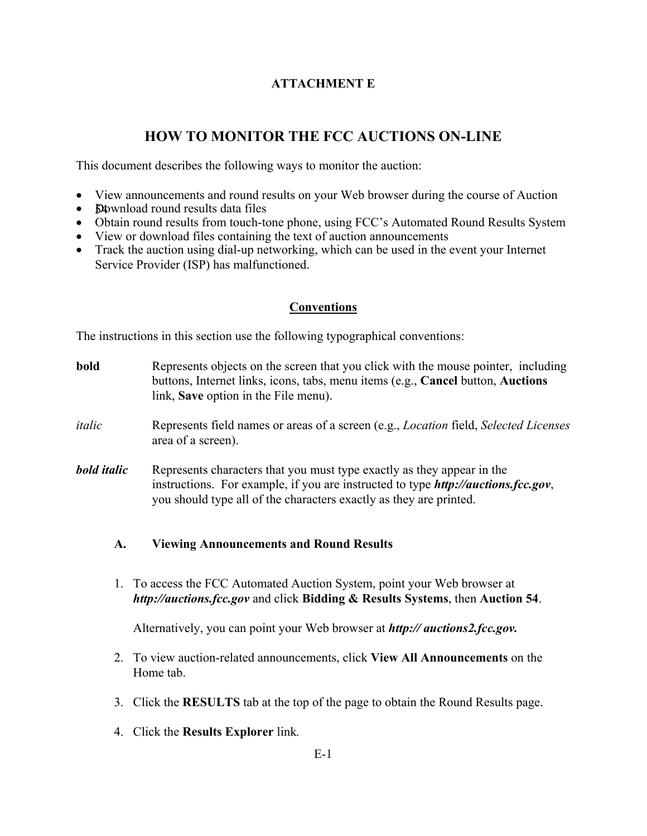# **ATTACHMENT E**

# **HOW TO MONITOR THE FCC AUCTIONS ON-LINE**

This document describes the following ways to monitor the auction:

- View announcements and round results on your Web browser during the course of Auction
- **D**ownload round results data files
- Obtain round results from touch-tone phone, using FCC's Automated Round Results System
- View or download files containing the text of auction announcements
- Track the auction using dial-up networking, which can be used in the event your Internet Service Provider (ISP) has malfunctioned.

### **Conventions**

The instructions in this section use the following typographical conventions:

- **bold** Represents objects on the screen that you click with the mouse pointer, including buttons, Internet links, icons, tabs, menu items (e.g., **Cancel** button, **Auctions** link, **Save** option in the File menu).
- *italic* Represents field names or areas of a screen (e.g., *Location* field, *Selected Licenses* area of a screen).
- *bold italic* Represents characters that you must type exactly as they appear in the instructions. For example, if you are instructed to type *http://auctions.fcc.gov*, you should type all of the characters exactly as they are printed.

#### **A. Viewing Announcements and Round Results**

1. To access the FCC Automated Auction System, point your Web browser at *http://auctions.fcc.gov* and click **Bidding & Results Systems**, then **Auction 54**.

Alternatively, you can point your Web browser at *http:// auctions2.fcc.gov.*

- 2. To view auction-related announcements, click **View All Announcements** on the Home tab.
- 3. Click the **RESULTS** tab at the top of the page to obtain the Round Results page.
- 4. Click the **Results Explorer** link*.*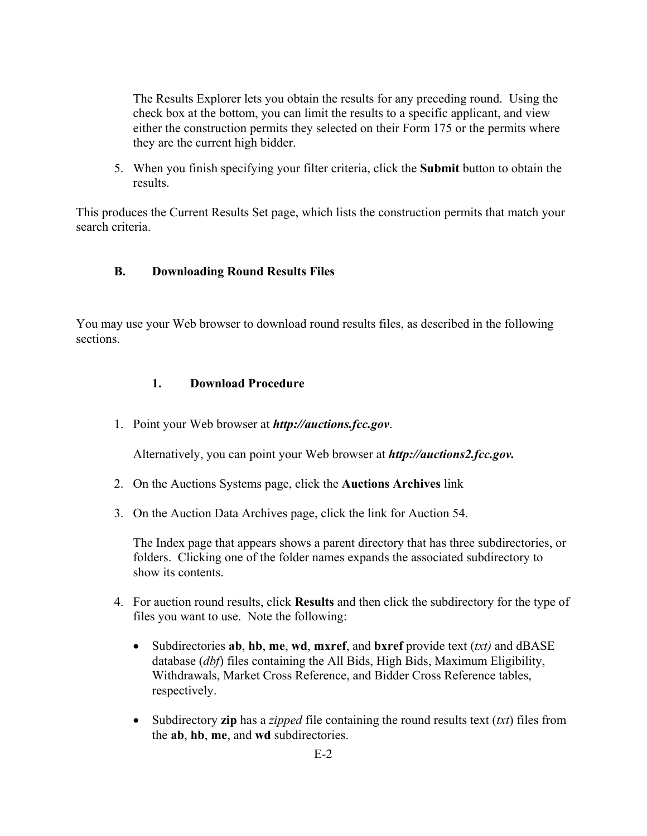The Results Explorer lets you obtain the results for any preceding round. Using the check box at the bottom, you can limit the results to a specific applicant, and view either the construction permits they selected on their Form 175 or the permits where they are the current high bidder.

5. When you finish specifying your filter criteria, click the **Submit** button to obtain the results.

This produces the Current Results Set page, which lists the construction permits that match your search criteria.

### **B. Downloading Round Results Files**

You may use your Web browser to download round results files, as described in the following sections.

### **1. Download Procedure**

1. Point your Web browser at *http://auctions.fcc.gov*.

Alternatively, you can point your Web browser at *http://auctions2.fcc.gov.*

- 2. On the Auctions Systems page, click the **Auctions Archives** link
- 3. On the Auction Data Archives page, click the link for Auction 54.

The Index page that appears shows a parent directory that has three subdirectories, or folders. Clicking one of the folder names expands the associated subdirectory to show its contents.

- 4. For auction round results, click **Results** and then click the subdirectory for the type of files you want to use. Note the following:
	- Subdirectories **ab**, **hb**, **me**, **wd**, **mxref**, and **bxref** provide text (*txt)* and dBASE database (*dbf*) files containing the All Bids, High Bids, Maximum Eligibility, Withdrawals, Market Cross Reference, and Bidder Cross Reference tables, respectively.
	- Subdirectory **zip** has a *zipped* file containing the round results text (*txt*) files from the **ab**, **hb**, **me**, and **wd** subdirectories.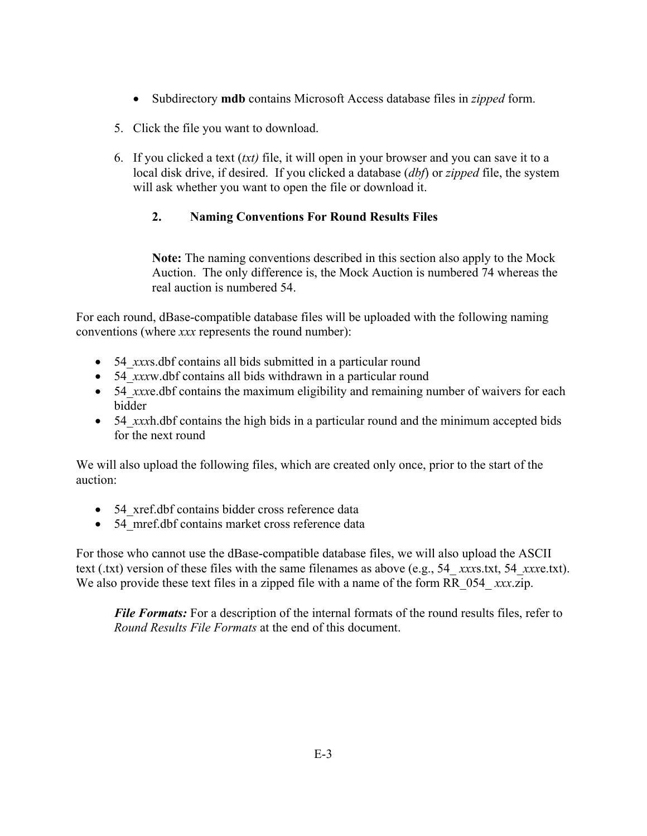- Subdirectory **mdb** contains Microsoft Access database files in *zipped* form.
- 5. Click the file you want to download.
- 6. If you clicked a text (*txt)* file, it will open in your browser and you can save it to a local disk drive, if desired. If you clicked a database (*dbf*) or *zipped* file, the system will ask whether you want to open the file or download it.

# **2. Naming Conventions For Round Results Files**

**Note:** The naming conventions described in this section also apply to the Mock Auction. The only difference is, the Mock Auction is numbered 74 whereas the real auction is numbered 54.

For each round, dBase-compatible database files will be uploaded with the following naming conventions (where *xxx* represents the round number):

- 54\_*xxx*s.dbf contains all bids submitted in a particular round
- 54\_*xxx*w.dbf contains all bids withdrawn in a particular round
- 54 *xxxe.dbf* contains the maximum eligibility and remaining number of waivers for each bidder
- 54 *xxxh*.dbf contains the high bids in a particular round and the minimum accepted bids for the next round

We will also upload the following files, which are created only once, prior to the start of the auction:

- 54 xref.dbf contains bidder cross reference data
- 54 mref.dbf contains market cross reference data

For those who cannot use the dBase-compatible database files, we will also upload the ASCII text (.txt) version of these files with the same filenames as above (e.g., 54\_ *xxx*s.txt, 54\_*xxx*e.txt). We also provide these text files in a zipped file with a name of the form RR 054 *xxx.*zip.

*File Formats:* For a description of the internal formats of the round results files, refer to *Round Results File Formats* at the end of this document.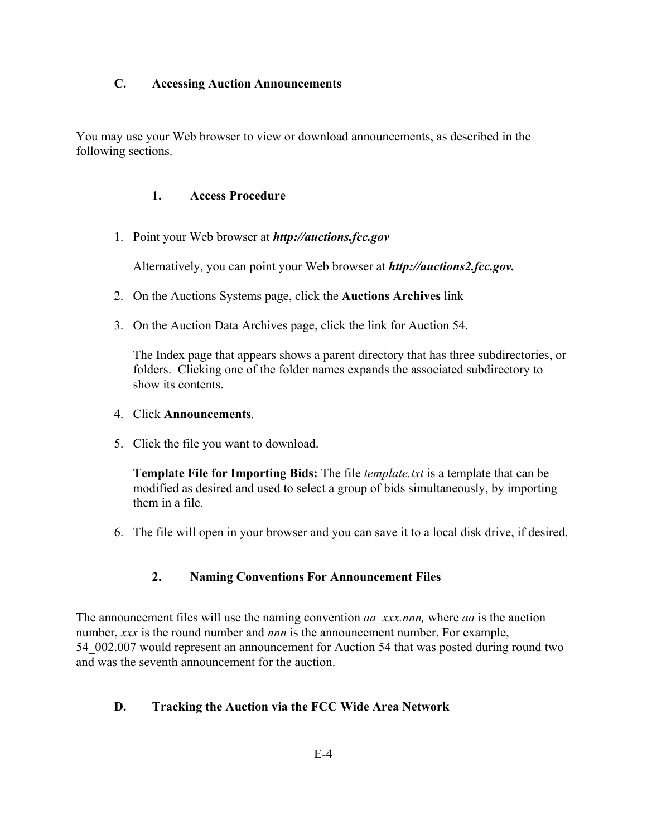### **C. Accessing Auction Announcements**

You may use your Web browser to view or download announcements, as described in the following sections.

### **1. Access Procedure**

1. Point your Web browser at *http://auctions.fcc.gov*

Alternatively, you can point your Web browser at *http://auctions2.fcc.gov.*

- 2. On the Auctions Systems page, click the **Auctions Archives** link
- 3. On the Auction Data Archives page, click the link for Auction 54.

The Index page that appears shows a parent directory that has three subdirectories, or folders. Clicking one of the folder names expands the associated subdirectory to show its contents.

#### 4. Click **Announcements**.

5. Click the file you want to download.

**Template File for Importing Bids:** The file *template.txt* is a template that can be modified as desired and used to select a group of bids simultaneously, by importing them in a file.

6. The file will open in your browser and you can save it to a local disk drive, if desired.

# **2. Naming Conventions For Announcement Files**

The announcement files will use the naming convention *aa\_xxx.nnn,* where *aa* is the auction number, *xxx* is the round number and *nnn* is the announcement number. For example, 54 002.007 would represent an announcement for Auction 54 that was posted during round two and was the seventh announcement for the auction.

# **D. Tracking the Auction via the FCC Wide Area Network**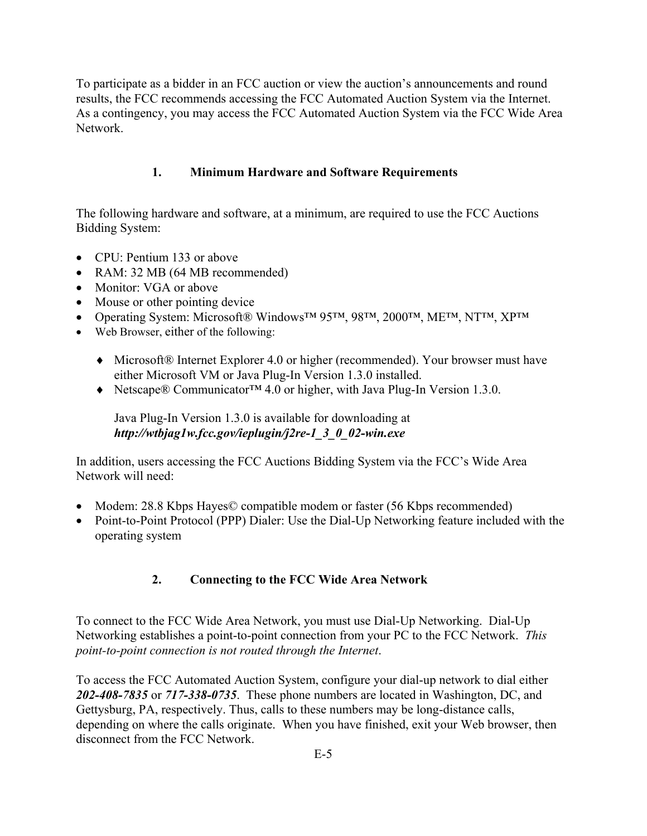To participate as a bidder in an FCC auction or view the auction's announcements and round results, the FCC recommends accessing the FCC Automated Auction System via the Internet. As a contingency, you may access the FCC Automated Auction System via the FCC Wide Area Network.

# **1. Minimum Hardware and Software Requirements**

The following hardware and software, at a minimum, are required to use the FCC Auctions Bidding System:

- CPU: Pentium 133 or above
- RAM: 32 MB (64 MB recommended)
- Monitor: VGA or above
- Mouse or other pointing device
- Operating System: Microsoft® Windows<sup>™</sup> 95™, 98™, 2000™, ME™, NT™, XP™
- Web Browser, either of the following:
	- ♦ Microsoft® Internet Explorer 4.0 or higher (recommended). Your browser must have either Microsoft VM or Java Plug-In Version 1.3.0 installed.
	- ♦ Netscape® Communicator™ 4.0 or higher, with Java Plug-In Version 1.3.0.

Java Plug-In Version 1.3.0 is available for downloading at *http://wtbjag1w.fcc.gov/ieplugin/j2re-1\_3\_0\_02-win.exe*

In addition, users accessing the FCC Auctions Bidding System via the FCC's Wide Area Network will need:

- Modem: 28.8 Kbps Hayes© compatible modem or faster (56 Kbps recommended)
- Point-to-Point Protocol (PPP) Dialer: Use the Dial-Up Networking feature included with the operating system

# **2. Connecting to the FCC Wide Area Network**

To connect to the FCC Wide Area Network, you must use Dial-Up Networking. Dial-Up Networking establishes a point-to-point connection from your PC to the FCC Network. *This point-to-point connection is not routed through the Internet*.

To access the FCC Automated Auction System, configure your dial-up network to dial either *202-408-7835* or *717-338-0735*. These phone numbers are located in Washington, DC, and Gettysburg, PA, respectively. Thus, calls to these numbers may be long-distance calls, depending on where the calls originate. When you have finished, exit your Web browser, then disconnect from the FCC Network.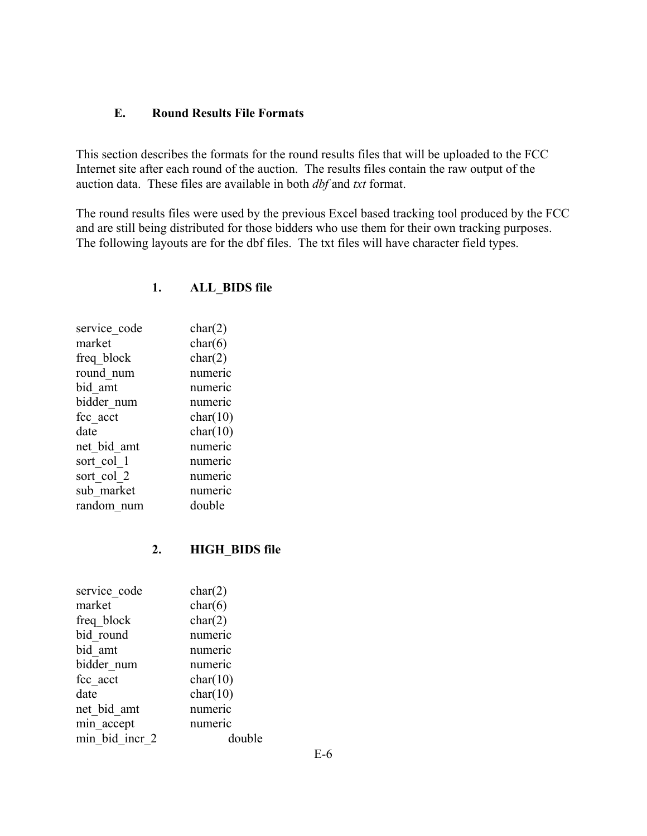#### **E. Round Results File Formats**

This section describes the formats for the round results files that will be uploaded to the FCC Internet site after each round of the auction. The results files contain the raw output of the auction data. These files are available in both *dbf* and *txt* format.

The round results files were used by the previous Excel based tracking tool produced by the FCC and are still being distributed for those bidders who use them for their own tracking purposes. The following layouts are for the dbf files. The txt files will have character field types.

| char(2)  |
|----------|
| char(6)  |
| char(2)  |
| numeric  |
| numeric  |
| numeric  |
| char(10) |
| char(10) |
| numeric  |
| numeric  |
| numeric  |
| numeric  |
| double   |
|          |

#### **1. ALL\_BIDS file**

#### **2. HIGH\_BIDS file**

| service code   | char(2)  |
|----------------|----------|
| market         | char(6)  |
| freq block     | char(2)  |
| bid round      | numeric  |
| bid amt        | numeric  |
| bidder num     | numeric  |
| fcc acct       | char(10) |
| date           | char(10) |
| net bid amt    | numeric  |
| min accept     | numeric  |
| min bid incr 2 | double   |
|                |          |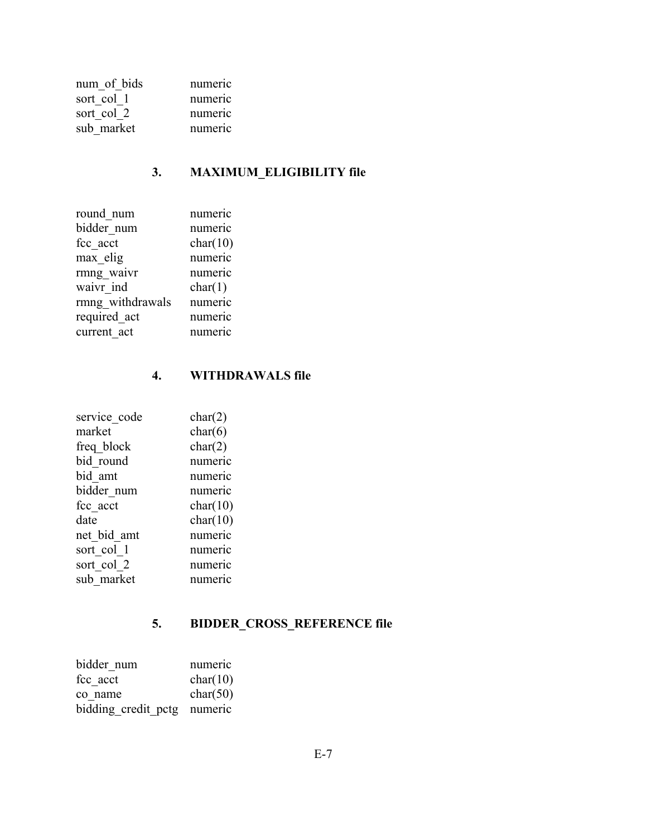| num of bids | numeric |
|-------------|---------|
| sort col 1  | numeric |
| sort col 2  | numeric |
| sub market  | numeric |

# **3. MAXIMUM\_ELIGIBILITY file**

| numeric  |
|----------|
|          |
| numeric  |
| char(10) |
| numeric  |
| numeric  |
| char(1)  |
| numeric  |
| numeric  |
| numeric  |
|          |

# **4. WITHDRAWALS file**

| service code | char(2)  |
|--------------|----------|
| market       | char(6)  |
| freq block   | char(2)  |
| bid round    | numeric  |
| bid amt      | numeric  |
| bidder num   | numeric  |
| fcc acct     | char(10) |
| date         | char(10) |
| net bid amt  | numeric  |
| sort col 1   | numeric  |
| sort col 2   | numeric  |
| sub market   | numeric  |

# **5. BIDDER\_CROSS\_REFERENCE file**

| bidder num                  | numeric  |
|-----------------------------|----------|
| fcc acct                    | char(10) |
| co name                     | char(50) |
| bidding credit pctg numeric |          |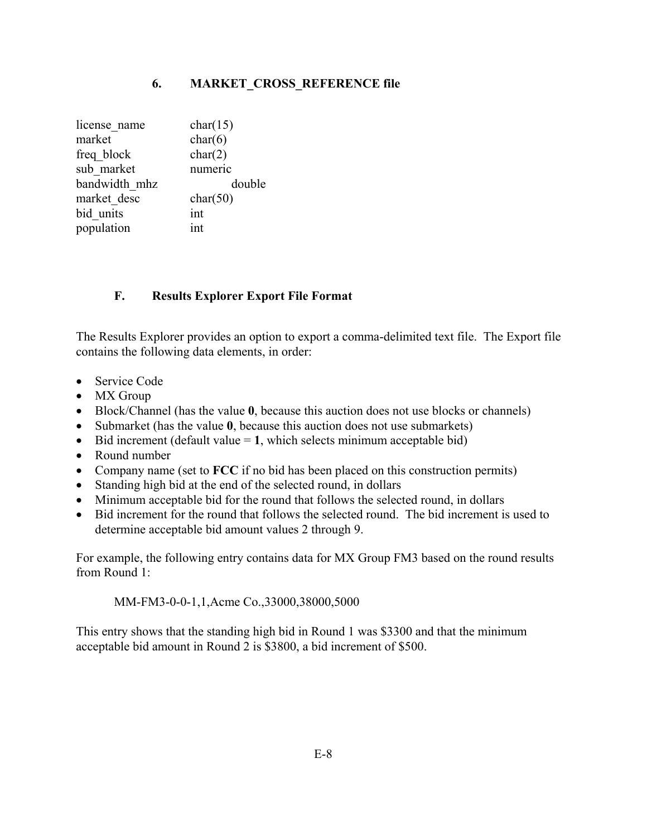## **6. MARKET\_CROSS\_REFERENCE file**

| char(15) |
|----------|
| char(6)  |
| char(2)  |
| numeric  |
| double   |
| char(50) |
| int      |
| int      |
|          |

# **F. Results Explorer Export File Format**

The Results Explorer provides an option to export a comma-delimited text file. The Export file contains the following data elements, in order:

- Service Code
- MX Group
- Block/Channel (has the value **0**, because this auction does not use blocks or channels)
- Submarket (has the value **0**, because this auction does not use submarkets)
- Bid increment (default value  $= 1$ , which selects minimum acceptable bid)
- Round number
- Company name (set to **FCC** if no bid has been placed on this construction permits)
- Standing high bid at the end of the selected round, in dollars
- Minimum acceptable bid for the round that follows the selected round, in dollars
- Bid increment for the round that follows the selected round. The bid increment is used to determine acceptable bid amount values 2 through 9.

For example, the following entry contains data for MX Group FM3 based on the round results from Round 1:

MM-FM3-0-0-1,1,Acme Co.,33000,38000,5000

This entry shows that the standing high bid in Round 1 was \$3300 and that the minimum acceptable bid amount in Round 2 is \$3800, a bid increment of \$500.